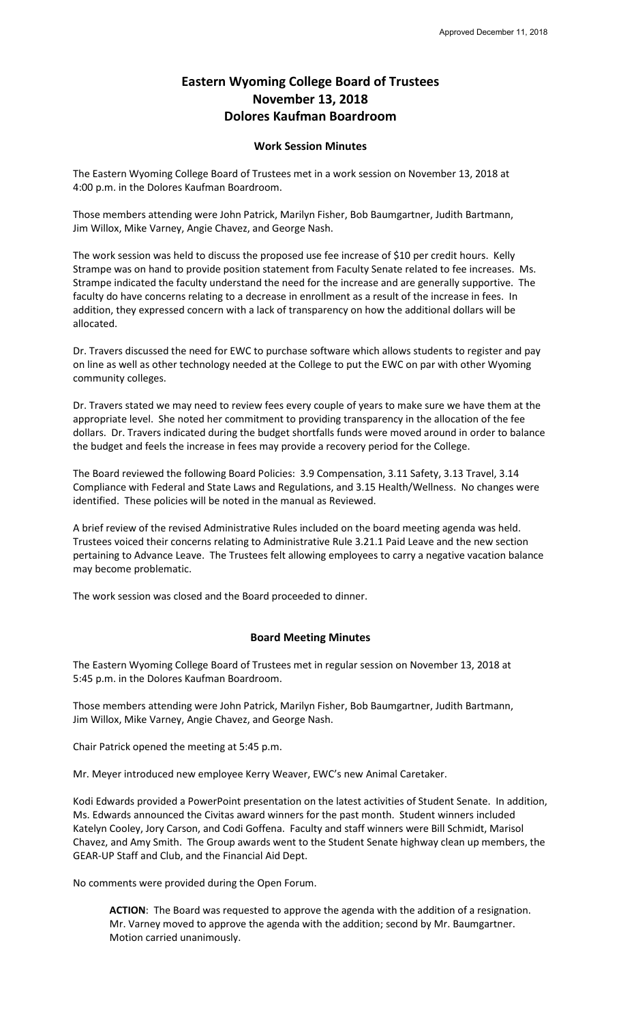## **Eastern Wyoming College Board of Trustees November 13, 2018 Dolores Kaufman Boardroom**

## **Work Session Minutes**

The Eastern Wyoming College Board of Trustees met in a work session on November 13, 2018 at 4:00 p.m. in the Dolores Kaufman Boardroom.

Those members attending were John Patrick, Marilyn Fisher, Bob Baumgartner, Judith Bartmann, Jim Willox, Mike Varney, Angie Chavez, and George Nash.

The work session was held to discuss the proposed use fee increase of \$10 per credit hours. Kelly Strampe was on hand to provide position statement from Faculty Senate related to fee increases. Ms. Strampe indicated the faculty understand the need for the increase and are generally supportive. The faculty do have concerns relating to a decrease in enrollment as a result of the increase in fees. In addition, they expressed concern with a lack of transparency on how the additional dollars will be allocated.

Dr. Travers discussed the need for EWC to purchase software which allows students to register and pay on line as well as other technology needed at the College to put the EWC on par with other Wyoming community colleges.

Dr. Travers stated we may need to review fees every couple of years to make sure we have them at the appropriate level. She noted her commitment to providing transparency in the allocation of the fee dollars. Dr. Travers indicated during the budget shortfalls funds were moved around in order to balance the budget and feels the increase in fees may provide a recovery period for the College.

The Board reviewed the following Board Policies: 3.9 Compensation, 3.11 Safety, 3.13 Travel, 3.14 Compliance with Federal and State Laws and Regulations, and 3.15 Health/Wellness. No changes were identified. These policies will be noted in the manual as Reviewed.

A brief review of the revised Administrative Rules included on the board meeting agenda was held. Trustees voiced their concerns relating to Administrative Rule 3.21.1 Paid Leave and the new section pertaining to Advance Leave. The Trustees felt allowing employees to carry a negative vacation balance may become problematic.

The work session was closed and the Board proceeded to dinner.

## **Board Meeting Minutes**

The Eastern Wyoming College Board of Trustees met in regular session on November 13, 2018 at 5:45 p.m. in the Dolores Kaufman Boardroom.

Those members attending were John Patrick, Marilyn Fisher, Bob Baumgartner, Judith Bartmann, Jim Willox, Mike Varney, Angie Chavez, and George Nash.

Chair Patrick opened the meeting at 5:45 p.m.

Mr. Meyer introduced new employee Kerry Weaver, EWC's new Animal Caretaker.

Kodi Edwards provided a PowerPoint presentation on the latest activities of Student Senate. In addition, Ms. Edwards announced the Civitas award winners for the past month. Student winners included Katelyn Cooley, Jory Carson, and Codi Goffena. Faculty and staff winners were Bill Schmidt, Marisol Chavez, and Amy Smith. The Group awards went to the Student Senate highway clean up members, the GEAR-UP Staff and Club, and the Financial Aid Dept.

No comments were provided during the Open Forum.

**ACTION**: The Board was requested to approve the agenda with the addition of a resignation. Mr. Varney moved to approve the agenda with the addition; second by Mr. Baumgartner. Motion carried unanimously.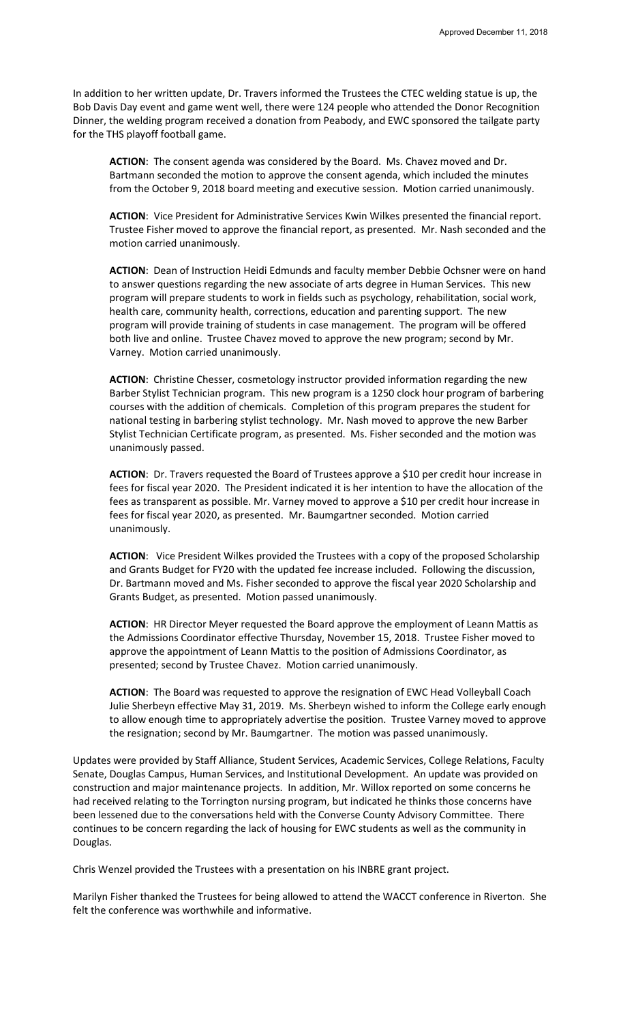In addition to her written update, Dr. Travers informed the Trustees the CTEC welding statue is up, the Bob Davis Day event and game went well, there were 124 people who attended the Donor Recognition Dinner, the welding program received a donation from Peabody, and EWC sponsored the tailgate party for the THS playoff football game.

**ACTION**: The consent agenda was considered by the Board. Ms. Chavez moved and Dr. Bartmann seconded the motion to approve the consent agenda, which included the minutes from the October 9, 2018 board meeting and executive session. Motion carried unanimously.

**ACTION**: Vice President for Administrative Services Kwin Wilkes presented the financial report. Trustee Fisher moved to approve the financial report, as presented. Mr. Nash seconded and the motion carried unanimously.

**ACTION**: Dean of Instruction Heidi Edmunds and faculty member Debbie Ochsner were on hand to answer questions regarding the new associate of arts degree in Human Services. This new program will prepare students to work in fields such as psychology, rehabilitation, social work, health care, community health, corrections, education and parenting support. The new program will provide training of students in case management. The program will be offered both live and online. Trustee Chavez moved to approve the new program; second by Mr. Varney. Motion carried unanimously.

**ACTION**: Christine Chesser, cosmetology instructor provided information regarding the new Barber Stylist Technician program. This new program is a 1250 clock hour program of barbering courses with the addition of chemicals. Completion of this program prepares the student for national testing in barbering stylist technology. Mr. Nash moved to approve the new Barber Stylist Technician Certificate program, as presented. Ms. Fisher seconded and the motion was unanimously passed.

**ACTION**: Dr. Travers requested the Board of Trustees approve a \$10 per credit hour increase in fees for fiscal year 2020. The President indicated it is her intention to have the allocation of the fees as transparent as possible. Mr. Varney moved to approve a \$10 per credit hour increase in fees for fiscal year 2020, as presented. Mr. Baumgartner seconded. Motion carried unanimously.

**ACTION**: Vice President Wilkes provided the Trustees with a copy of the proposed Scholarship and Grants Budget for FY20 with the updated fee increase included. Following the discussion, Dr. Bartmann moved and Ms. Fisher seconded to approve the fiscal year 2020 Scholarship and Grants Budget, as presented. Motion passed unanimously.

**ACTION**: HR Director Meyer requested the Board approve the employment of Leann Mattis as the Admissions Coordinator effective Thursday, November 15, 2018. Trustee Fisher moved to approve the appointment of Leann Mattis to the position of Admissions Coordinator, as presented; second by Trustee Chavez. Motion carried unanimously.

**ACTION**: The Board was requested to approve the resignation of EWC Head Volleyball Coach Julie Sherbeyn effective May 31, 2019. Ms. Sherbeyn wished to inform the College early enough to allow enough time to appropriately advertise the position. Trustee Varney moved to approve the resignation; second by Mr. Baumgartner. The motion was passed unanimously.

Updates were provided by Staff Alliance, Student Services, Academic Services, College Relations, Faculty Senate, Douglas Campus, Human Services, and Institutional Development. An update was provided on construction and major maintenance projects. In addition, Mr. Willox reported on some concerns he had received relating to the Torrington nursing program, but indicated he thinks those concerns have been lessened due to the conversations held with the Converse County Advisory Committee. There continues to be concern regarding the lack of housing for EWC students as well as the community in Douglas.

Chris Wenzel provided the Trustees with a presentation on his INBRE grant project.

Marilyn Fisher thanked the Trustees for being allowed to attend the WACCT conference in Riverton. She felt the conference was worthwhile and informative.